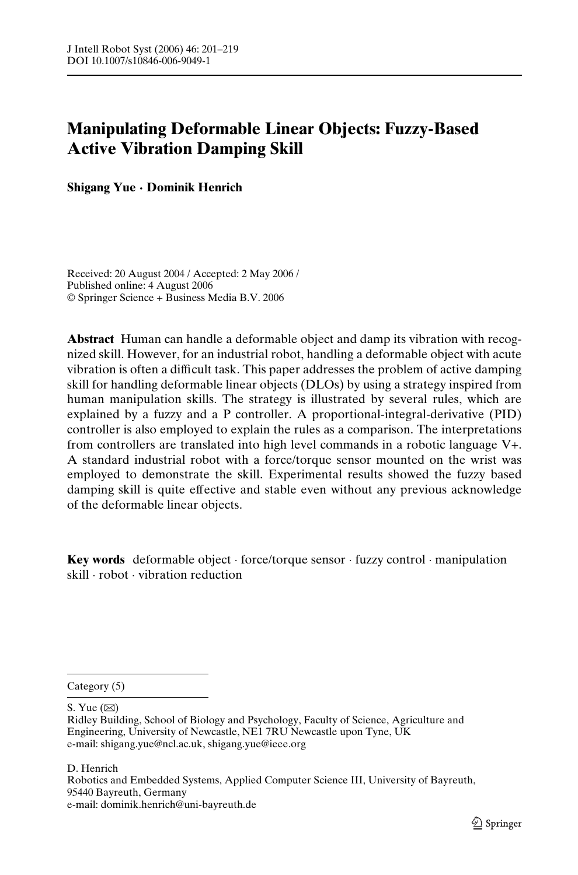# **Manipulating Deformable Linear Objects: Fuzzy-Based Active Vibration Damping Skill**

**Shigang Yue** · **Dominik Henrich**

Received: 20 August 2004 / Accepted: 2 May 2006 / Published online: 4 August 2006 © Springer Science + Business Media B.V. 2006

**Abstract** Human can handle a deformable object and damp its vibration with recognized skill. However, for an industrial robot, handling a deformable object with acute vibration is often a difficult task. This paper addresses the problem of active damping skill for handling deformable linear objects (DLOs) by using a strategy inspired from human manipulation skills. The strategy is illustrated by several rules, which are explained by a fuzzy and a P controller. A proportional-integral-derivative (PID) controller is also employed to explain the rules as a comparison. The interpretations from controllers are translated into high level commands in a robotic language V+. A standard industrial robot with a force/torque sensor mounted on the wrist was employed to demonstrate the skill. Experimental results showed the fuzzy based damping skill is quite effective and stable even without any previous acknowledge of the deformable linear objects.

**Key words** deformable object · force/torque sensor · fuzzy control · manipulation skill · robot · vibration reduction

Category (5)

S. Yue  $(\boxtimes)$ 

D. Henrich

Robotics and Embedded Systems, Applied Computer Science III, University of Bayreuth, 95440 Bayreuth, Germany e-mail: dominik.henrich@uni-bayreuth.de

Ridley Building, School of Biology and Psychology, Faculty of Science, Agriculture and Engineering, University of Newcastle, NE1 7RU Newcastle upon Tyne, UK e-mail: shigang.yue@ncl.ac.uk, shigang.yue@ieee.org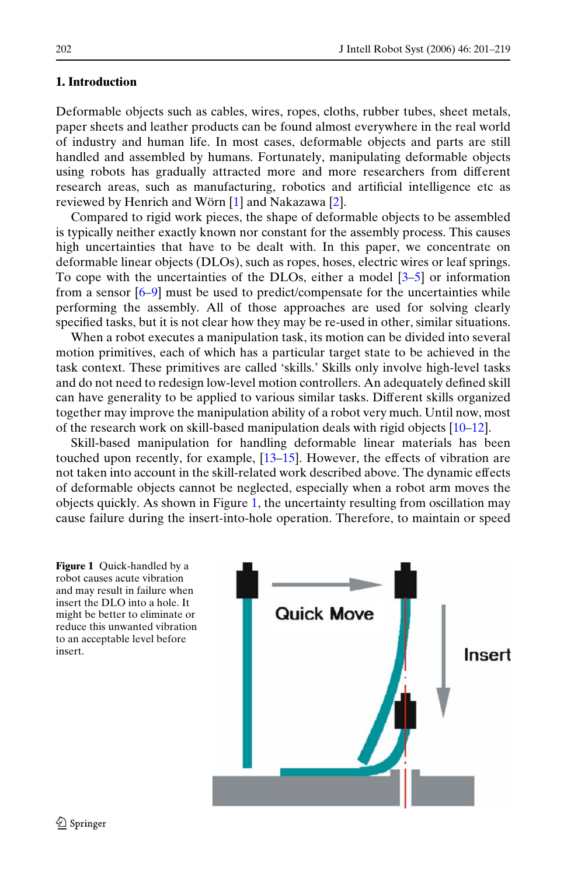## **1. Introduction**

Deformable objects such as cables, wires, ropes, cloths, rubber tubes, sheet metals, paper sheets and leather products can be found almost everywhere in the real world of industry and human life. In most cases, deformable objects and parts are still handled and assembled by humans. Fortunately, manipulating deformable objects using robots has gradually attracted more and more researchers from different research areas, such as manufacturing, robotics and artificial intelligence etc as reviewed by Henrich and Wörn [\[1\]](#page-17-0) and Nakazawa [\[2\]](#page-17-0).

Compared to rigid work pieces, the shape of deformable objects to be assembled is typically neither exactly known nor constant for the assembly process. This causes high uncertainties that have to be dealt with. In this paper, we concentrate on deformable linear objects (DLOs), such as ropes, hoses, electric wires or leaf springs. To cope with the uncertainties of the DLOs, either a model [\[3–5\]](#page-17-0) or information from a sensor [\[6–9\]](#page-17-0) must be used to predict/compensate for the uncertainties while performing the assembly. All of those approaches are used for solving clearly specified tasks, but it is not clear how they may be re-used in other, similar situations.

When a robot executes a manipulation task, its motion can be divided into several motion primitives, each of which has a particular target state to be achieved in the task context. These primitives are called 'skills.' Skills only involve high-level tasks and do not need to redesign low-level motion controllers. An adequately defined skill can have generality to be applied to various similar tasks. Different skills organized together may improve the manipulation ability of a robot very much. Until now, most of the research work on skill-based manipulation deals with rigid objects  $[10-12]$  $[10-12]$ .

Skill-based manipulation for handling deformable linear materials has been touched upon recently, for example, [\[13–15\]](#page-18-0). However, the effects of vibration are not taken into account in the skill-related work described above. The dynamic effects of deformable objects cannot be neglected, especially when a robot arm moves the objects quickly. As shown in Figure 1, the uncertainty resulting from oscillation may cause failure during the insert-into-hole operation. Therefore, to maintain or speed



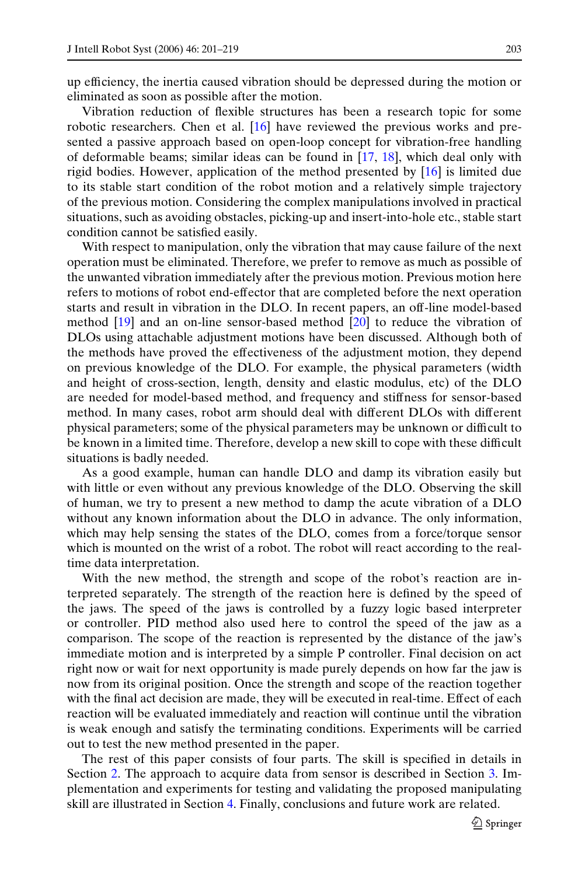up efficiency, the inertia caused vibration should be depressed during the motion or eliminated as soon as possible after the motion.

Vibration reduction of flexible structures has been a research topic for some robotic researchers. Chen et al. [\[16\]](#page-18-0) have reviewed the previous works and presented a passive approach based on open-loop concept for vibration-free handling of deformable beams; similar ideas can be found in [\[17,](#page-18-0) [18\]](#page-18-0), which deal only with rigid bodies. However, application of the method presented by [\[16\]](#page-18-0) is limited due to its stable start condition of the robot motion and a relatively simple trajectory of the previous motion. Considering the complex manipulations involved in practical situations, such as avoiding obstacles, picking-up and insert-into-hole etc., stable start condition cannot be satisfied easily.

With respect to manipulation, only the vibration that may cause failure of the next operation must be eliminated. Therefore, we prefer to remove as much as possible of the unwanted vibration immediately after the previous motion. Previous motion here refers to motions of robot end-effector that are completed before the next operation starts and result in vibration in the DLO. In recent papers, an off-line model-based method [\[19\]](#page-18-0) and an on-line sensor-based method [\[20\]](#page-18-0) to reduce the vibration of DLOs using attachable adjustment motions have been discussed. Although both of the methods have proved the effectiveness of the adjustment motion, they depend on previous knowledge of the DLO. For example, the physical parameters (width and height of cross-section, length, density and elastic modulus, etc) of the DLO are needed for model-based method, and frequency and stiffness for sensor-based method. In many cases, robot arm should deal with different DLOs with different physical parameters; some of the physical parameters may be unknown or difficult to be known in a limited time. Therefore, develop a new skill to cope with these difficult situations is badly needed.

As a good example, human can handle DLO and damp its vibration easily but with little or even without any previous knowledge of the DLO. Observing the skill of human, we try to present a new method to damp the acute vibration of a DLO without any known information about the DLO in advance. The only information, which may help sensing the states of the DLO, comes from a force/torque sensor which is mounted on the wrist of a robot. The robot will react according to the realtime data interpretation.

With the new method, the strength and scope of the robot's reaction are interpreted separately. The strength of the reaction here is defined by the speed of the jaws. The speed of the jaws is controlled by a fuzzy logic based interpreter or controller. PID method also used here to control the speed of the jaw as a comparison. The scope of the reaction is represented by the distance of the jaw's immediate motion and is interpreted by a simple P controller. Final decision on act right now or wait for next opportunity is made purely depends on how far the jaw is now from its original position. Once the strength and scope of the reaction together with the final act decision are made, they will be executed in real-time. Effect of each reaction will be evaluated immediately and reaction will continue until the vibration is weak enough and satisfy the terminating conditions. Experiments will be carried out to test the new method presented in the paper.

The rest of this paper consists of four parts. The skill is specified in details in Section [2.](#page-3-0) The approach to acquire data from sensor is described in Section [3.](#page-10-0) Implementation and experiments for testing and validating the proposed manipulating skill are illustrated in Section [4.](#page-11-0) Finally, conclusions and future work are related.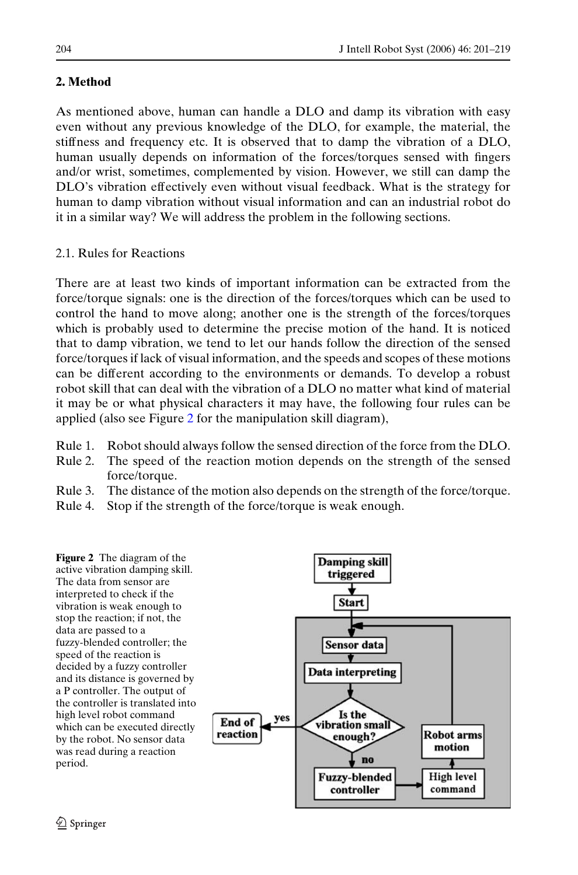# <span id="page-3-0"></span>**2. Method**

As mentioned above, human can handle a DLO and damp its vibration with easy even without any previous knowledge of the DLO, for example, the material, the stiffness and frequency etc. It is observed that to damp the vibration of a DLO, human usually depends on information of the forces/torques sensed with fingers and/or wrist, sometimes, complemented by vision. However, we still can damp the DLO's vibration effectively even without visual feedback. What is the strategy for human to damp vibration without visual information and can an industrial robot do it in a similar way? We will address the problem in the following sections.

## 2.1. Rules for Reactions

There are at least two kinds of important information can be extracted from the force/torque signals: one is the direction of the forces/torques which can be used to control the hand to move along; another one is the strength of the forces/torques which is probably used to determine the precise motion of the hand. It is noticed that to damp vibration, we tend to let our hands follow the direction of the sensed force/torques if lack of visual information, and the speeds and scopes of these motions can be different according to the environments or demands. To develop a robust robot skill that can deal with the vibration of a DLO no matter what kind of material it may be or what physical characters it may have, the following four rules can be applied (also see Figure 2 for the manipulation skill diagram),

- Rule 1. Robot should always follow the sensed direction of the force from the DLO.
- Rule 2. The speed of the reaction motion depends on the strength of the sensed force/torque.
- Rule 3. The distance of the motion also depends on the strength of the force/torque.
- Rule 4. Stop if the strength of the force/torque is weak enough.



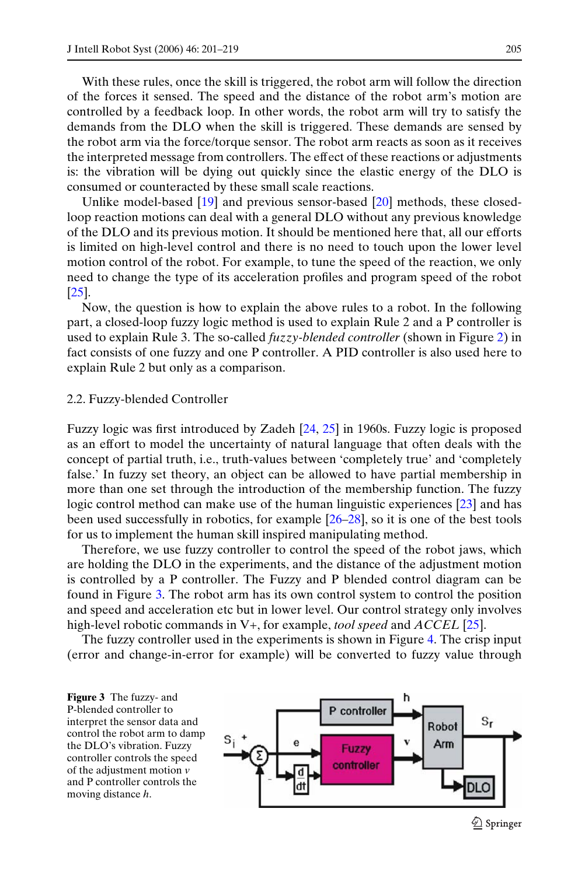<span id="page-4-0"></span>With these rules, once the skill is triggered, the robot arm will follow the direction of the forces it sensed. The speed and the distance of the robot arm's motion are controlled by a feedback loop. In other words, the robot arm will try to satisfy the demands from the DLO when the skill is triggered. These demands are sensed by the robot arm via the force/torque sensor. The robot arm reacts as soon as it receives the interpreted message from controllers. The effect of these reactions or adjustments is: the vibration will be dying out quickly since the elastic energy of the DLO is consumed or counteracted by these small scale reactions.

Unlike model-based [\[19\]](#page-18-0) and previous sensor-based [\[20\]](#page-18-0) methods, these closedloop reaction motions can deal with a general DLO without any previous knowledge of the DLO and its previous motion. It should be mentioned here that, all our efforts is limited on high-level control and there is no need to touch upon the lower level motion control of the robot. For example, to tune the speed of the reaction, we only need to change the type of its acceleration profiles and program speed of the robot [\[25\]](#page-18-0).

Now, the question is how to explain the above rules to a robot. In the following part, a closed-loop fuzzy logic method is used to explain Rule 2 and a P controller is used to explain Rule 3. The so-called *fuzzy-blended controller* (shown in Figure [2\)](#page-3-0) in fact consists of one fuzzy and one P controller. A PID controller is also used here to explain Rule 2 but only as a comparison.

#### 2.2. Fuzzy-blended Controller

Fuzzy logic was first introduced by Zadeh [\[24,](#page-18-0) [25\]](#page-18-0) in 1960s. Fuzzy logic is proposed as an effort to model the uncertainty of natural language that often deals with the concept of partial truth, i.e., truth-values between 'completely true' and 'completely false.' In fuzzy set theory, an object can be allowed to have partial membership in more than one set through the introduction of the membership function. The fuzzy logic control method can make use of the human linguistic experiences [\[23\]](#page-18-0) and has been used successfully in robotics, for example [\[26–28\]](#page-18-0), so it is one of the best tools for us to implement the human skill inspired manipulating method.

Therefore, we use fuzzy controller to control the speed of the robot jaws, which are holding the DLO in the experiments, and the distance of the adjustment motion is controlled by a P controller. The Fuzzy and P blended control diagram can be found in Figure 3. The robot arm has its own control system to control the position and speed and acceleration etc but in lower level. Our control strategy only involves high-level robotic commands in V+, for example, *tool speed* and *ACCEL* [\[25\]](#page-18-0).

The fuzzy controller used in the experiments is shown in Figure [4.](#page-5-0) The crisp input (error and change-in-error for example) will be converted to fuzzy value through

**Figure 3** The fuzzy- and P-blended controller to interpret the sensor data and control the robot arm to damp the DLO's vibration. Fuzzy controller controls the speed of the adjustment motion *v* and P controller controls the moving distance *h*.

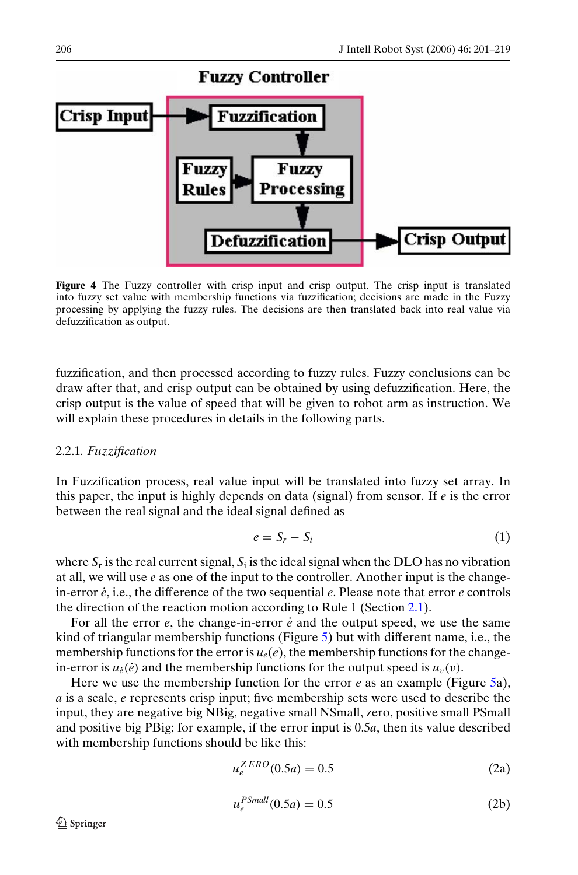<span id="page-5-0"></span>

**Figure 4** The Fuzzy controller with crisp input and crisp output. The crisp input is translated into fuzzy set value with membership functions via fuzzification; decisions are made in the Fuzzy processing by applying the fuzzy rules. The decisions are then translated back into real value via defuzzification as output.

fuzzification, and then processed according to fuzzy rules. Fuzzy conclusions can be draw after that, and crisp output can be obtained by using defuzzification. Here, the crisp output is the value of speed that will be given to robot arm as instruction. We will explain these procedures in details in the following parts.

## 2.2.1*. Fuzzification*

In Fuzzification process, real value input will be translated into fuzzy set array. In this paper, the input is highly depends on data (signal) from sensor. If *e* is the error between the real signal and the ideal signal defined as

$$
e = S_r - S_i \tag{1}
$$

where  $S_{\rm r}$  is the real current signal,  $S_{\rm i}$  is the ideal signal when the DLO has no vibration at all, we will use *e* as one of the input to the controller. Another input is the changein-error  $\dot{e}$ , i.e., the difference of the two sequential  $e$ . Please note that error  $e$  controls the direction of the reaction motion according to Rule 1 (Section [2.1\)](#page-3-0).

For all the error *e*, the change-in-error *e*<sup> $i$ </sup> and the output speed, we use the same kind of triangular membership functions (Figure [5\)](#page-6-0) but with different name, i.e., the membership functions for the error is  $u_e(e)$ , the membership functions for the changein-error is  $u_{\dot{e}}(\dot{e})$  and the membership functions for the output speed is  $u_{\dot{v}}(v)$ .

Here we use the membership function for the error *e* as an example (Figure [5a](#page-6-0)), *a* is a scale, *e* represents crisp input; five membership sets were used to describe the input, they are negative big NBig, negative small NSmall, zero, positive small PSmall and positive big PBig; for example, if the error input is 0.5*a*, then its value described with membership functions should be like this:

$$
u_e^{ZERO}(0.5a) = 0.5
$$
 (2a)

$$
u_e^{PSmall}(0.5a) = 0.5\tag{2b}
$$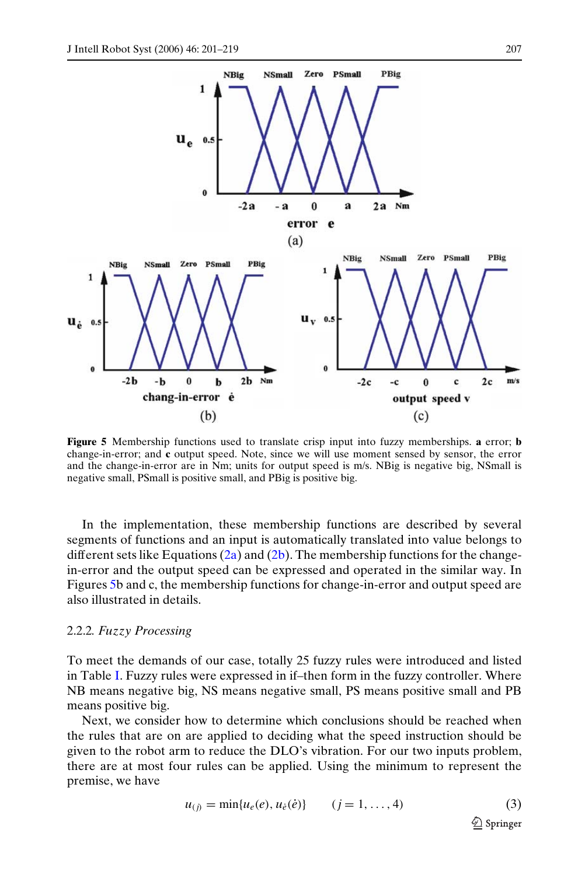<span id="page-6-0"></span>

**Figure 5** Membership functions used to translate crisp input into fuzzy memberships. **a** error; **b** change-in-error; and **c** output speed. Note, since we will use moment sensed by sensor, the error and the change-in-error are in Nm; units for output speed is m/s. NBig is negative big, NSmall is negative small, PSmall is positive small, and PBig is positive big.

In the implementation, these membership functions are described by several segments of functions and an input is automatically translated into value belongs to different sets like Equations  $(2a)$  and  $(2b)$ . The membership functions for the changein-error and the output speed can be expressed and operated in the similar way. In Figures 5b and c, the membership functions for change-in-error and output speed are also illustrated in details.

#### 2.2.2*. Fuzzy Processing*

To meet the demands of our case, totally 25 fuzzy rules were introduced and listed in Table [I.](#page-7-0) Fuzzy rules were expressed in if–then form in the fuzzy controller. Where NB means negative big, NS means negative small, PS means positive small and PB means positive big.

Next, we consider how to determine which conclusions should be reached when the rules that are on are applied to deciding what the speed instruction should be given to the robot arm to reduce the DLO's vibration. For our two inputs problem, there are at most four rules can be applied. Using the minimum to represent the premise, we have

$$
u_{(j)} = \min\{u_e(e), u_{\dot{e}}(\dot{e})\} \qquad (j = 1, ..., 4)
$$
 (3)

2 Springer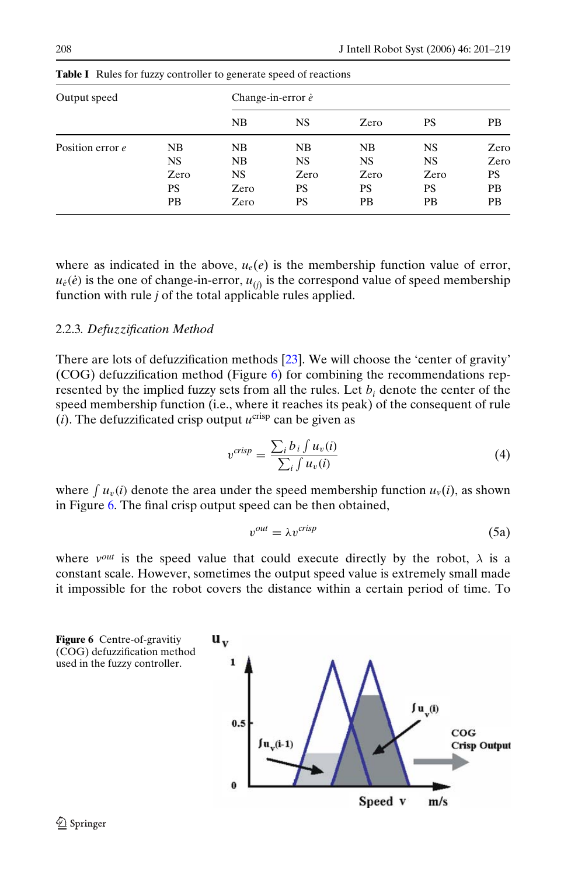| Output speed     |           | Change-in-error è |           |           |           |           |  |  |
|------------------|-----------|-------------------|-----------|-----------|-----------|-----------|--|--|
|                  |           | NB                | <b>NS</b> | Zero      | PS        | PВ        |  |  |
| Position error e | NB        | NB                | NB        | NB        | <b>NS</b> | Zero      |  |  |
|                  | NS        | NB                | <b>NS</b> | NS        | <b>NS</b> | Zero      |  |  |
|                  | Zero      | <b>NS</b>         | Zero      | Zero      | Zero      | PS        |  |  |
|                  | PS        | Zero              | PS        | PS        | PS        | <b>PB</b> |  |  |
|                  | <b>PB</b> | Zero              | PS        | <b>PB</b> | <b>PB</b> | <b>PB</b> |  |  |

<span id="page-7-0"></span>**Table I** Rules for fuzzy controller to generate speed of reactions

where as indicated in the above,  $u_e(e)$  is the membership function value of error,  $u_e$ <sup>(*e*</sup>) is the one of change-in-error,  $u_{(j)}$  is the correspond value of speed membership function with rule *j* of the total applicable rules applied.

## 2.2.3*. Defuzzification Method*

There are lots of defuzzification methods [\[23\]](#page-18-0). We will choose the 'center of gravity'  $(COG)$  defuzzification method (Figure 6) for combining the recommendations represented by the implied fuzzy sets from all the rules. Let *b<sup>i</sup>* denote the center of the speed membership function (i.e., where it reaches its peak) of the consequent of rule  $(i)$ . The defuzzificated crisp output  $u^{\text{crisp}}$  can be given as

$$
v^{crisp} = \frac{\sum_{i} b_{i} \int u_{v}(i)}{\sum_{i} \int u_{v}(i)}
$$
(4)

where  $\int u_v(i)$  denote the area under the speed membership function  $u_v(i)$ , as shown in Figure 6. The final crisp output speed can be then obtained,

$$
v^{out} = \lambda v^{crisp} \tag{5a}
$$

where  $v^{out}$  is the speed value that could execute directly by the robot,  $\lambda$  is a constant scale. However, sometimes the output speed value is extremely small made it impossible for the robot covers the distance within a certain period of time. To

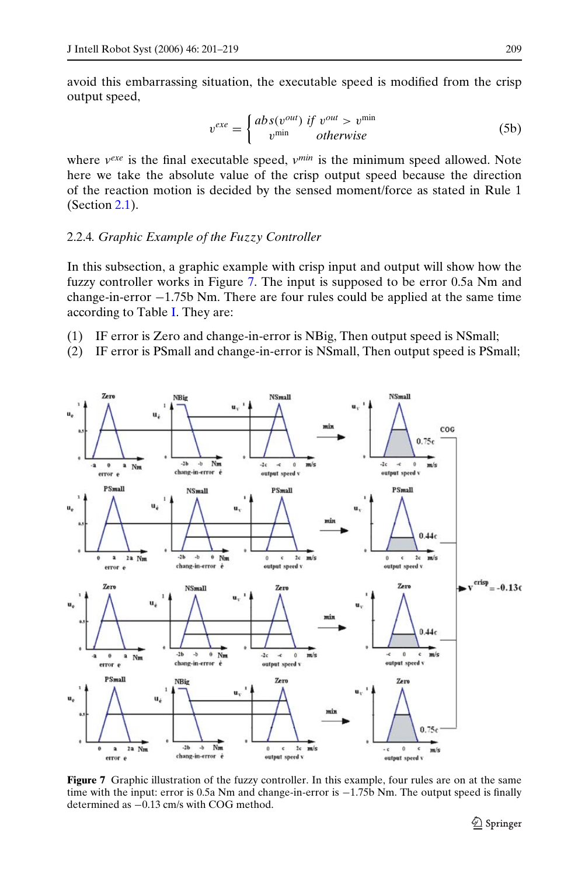<span id="page-8-0"></span>avoid this embarrassing situation, the executable speed is modified from the crisp output speed,

$$
v^{exe} = \begin{cases} abs(v^{out}) \text{ if } v^{out} > v^{\min} \\ v^{\min} \text{ otherwise} \end{cases} \tag{5b}
$$

where *v exe* is the final executable speed, *vmin* is the minimum speed allowed. Note here we take the absolute value of the crisp output speed because the direction of the reaction motion is decided by the sensed moment/force as stated in Rule 1 (Section [2.1\)](#page-3-0).

#### 2.2.4*. Graphic Example of the Fuzzy Controller*

In this subsection, a graphic example with crisp input and output will show how the fuzzy controller works in Figure 7. The input is supposed to be error 0.5a Nm and change-in-error −1.75b Nm. There are four rules could be applied at the same time according to Table [I.](#page-7-0) They are:

- (1) IF error is Zero and change-in-error is NBig, Then output speed is NSmall;
- (2) IF error is PSmall and change-in-error is NSmall, Then output speed is PSmall;



**Figure 7** Graphic illustration of the fuzzy controller. In this example, four rules are on at the same time with the input: error is 0.5a Nm and change-in-error is −1.75b Nm. The output speed is finally determined as −0.13 cm/s with COG method.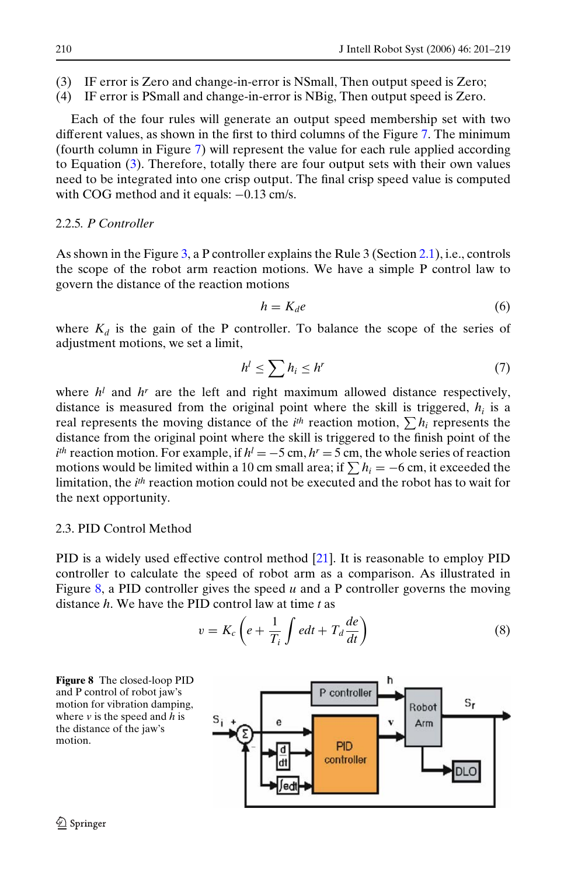- <span id="page-9-0"></span>(3) IF error is Zero and change-in-error is NSmall, Then output speed is Zero;
- (4) IF error is PSmall and change-in-error is NBig, Then output speed is Zero.

Each of the four rules will generate an output speed membership set with two different values, as shown in the first to third columns of the Figure [7.](#page-8-0) The minimum (fourth column in Figure [7\)](#page-8-0) will represent the value for each rule applied according to Equation [\(3\)](#page-6-0). Therefore, totally there are four output sets with their own values need to be integrated into one crisp output. The final crisp speed value is computed with COG method and it equals:  $-0.13$  cm/s.

## 2.2.5*. P Controller*

As shown in the Figure [3,](#page-4-0) a P controller explains the Rule 3 (Section [2.1\)](#page-3-0), i.e., controls the scope of the robot arm reaction motions. We have a simple P control law to govern the distance of the reaction motions

$$
h = K_d e \tag{6}
$$

where  $K_d$  is the gain of the P controller. To balance the scope of the series of adjustment motions, we set a limit,

$$
h^l \leq \sum h_i \leq h^r \tag{7}
$$

where  $h^l$  and  $h^r$  are the left and right maximum allowed distance respectively, distance is measured from the original point where the skill is triggered, *h<sup>i</sup>* is a real represents the moving distance of the  $i^{th}$  reaction motion,  $\sum h_i$  represents the distance from the original point where the skill is triggered to the finish point of the  $i<sup>th</sup>$  reaction motion. For example, if  $h<sup>l</sup> = -5$  cm,  $h<sup>r</sup> = 5$  cm, the whole series of reaction motions would be limited within a 10 cm small area; if  $\sum h_i = -6$  cm, it exceeded the limitation, the *i th* reaction motion could not be executed and the robot has to wait for the next opportunity.

## 2.3. PID Control Method

PID is a widely used effective control method [\[21\]](#page-18-0). It is reasonable to employ PID controller to calculate the speed of robot arm as a comparison. As illustrated in Figure 8, a PID controller gives the speed *u* and a P controller governs the moving distance *h*. We have the PID control law at time *t* as

$$
v = K_c \left( e + \frac{1}{T_i} \int e dt + T_d \frac{de}{dt} \right)
$$
 (8)

**Figure 8** The closed-loop PID and P control of robot jaw's motion for vibration damping, where *v* is the speed and *h* is the distance of the jaw's motion.

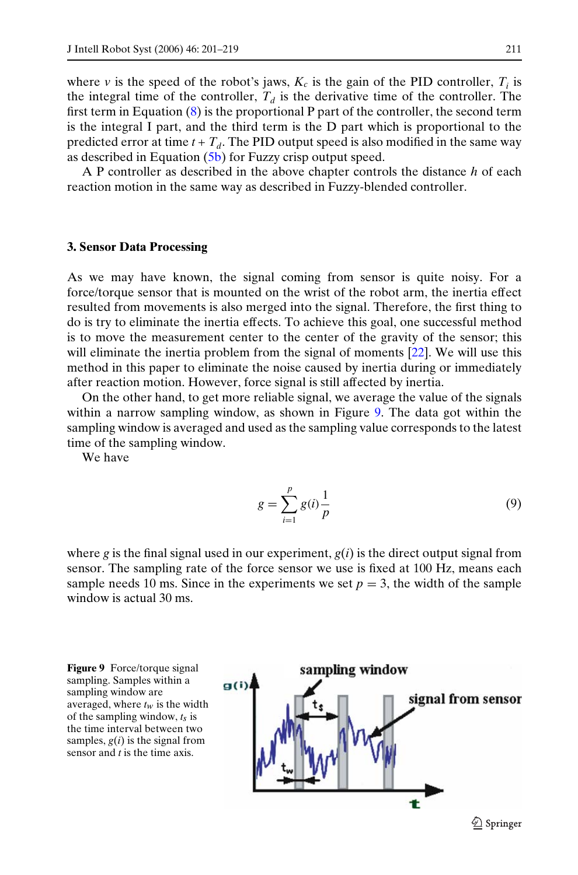<span id="page-10-0"></span>where *v* is the speed of the robot's jaws,  $K_c$  is the gain of the PID controller,  $T_i$  is the integral time of the controller,  $T_d$  is the derivative time of the controller. The first term in Equation [\(8\)](#page-9-0) is the proportional P part of the controller, the second term is the integral I part, and the third term is the D part which is proportional to the predicted error at time  $t + T_d$ . The PID output speed is also modified in the same way as described in Equation [\(5b\)](#page-8-0) for Fuzzy crisp output speed.

A P controller as described in the above chapter controls the distance *h* of each reaction motion in the same way as described in Fuzzy-blended controller.

#### **3. Sensor Data Processing**

As we may have known, the signal coming from sensor is quite noisy. For a force/torque sensor that is mounted on the wrist of the robot arm, the inertia effect resulted from movements is also merged into the signal. Therefore, the first thing to do is try to eliminate the inertia effects. To achieve this goal, one successful method is to move the measurement center to the center of the gravity of the sensor; this will eliminate the inertia problem from the signal of moments [\[22\]](#page-18-0). We will use this method in this paper to eliminate the noise caused by inertia during or immediately after reaction motion. However, force signal is still affected by inertia.

On the other hand, to get more reliable signal, we average the value of the signals within a narrow sampling window, as shown in Figure 9. The data got within the sampling window is averaged and used as the sampling value corresponds to the latest time of the sampling window.

We have

$$
g = \sum_{i=1}^{p} g(i) \frac{1}{p}
$$
 (9)

where *g* is the final signal used in our experiment,  $g(i)$  is the direct output signal from sensor. The sampling rate of the force sensor we use is fixed at 100 Hz, means each sample needs 10 ms. Since in the experiments we set  $p = 3$ , the width of the sample window is actual 30 ms.

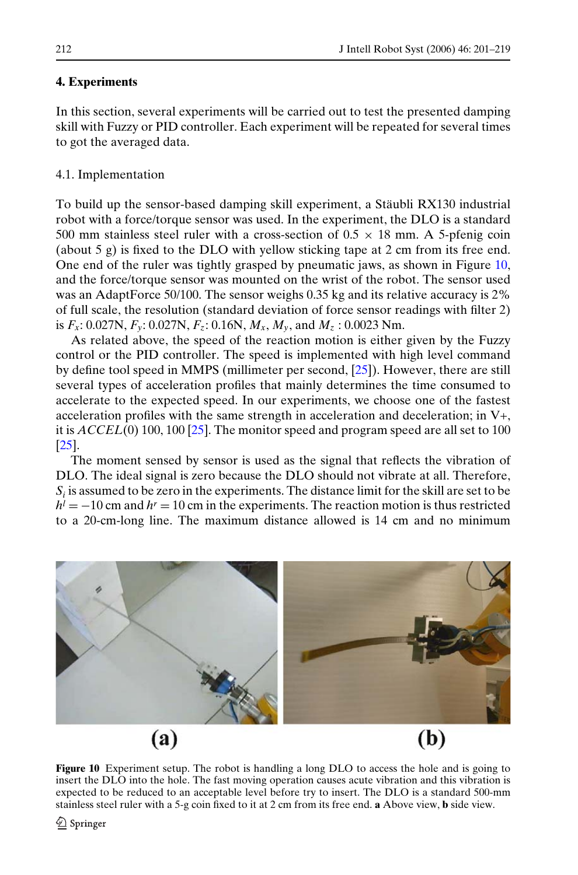# <span id="page-11-0"></span>**4. Experiments**

In this section, several experiments will be carried out to test the presented damping skill with Fuzzy or PID controller. Each experiment will be repeated for several times to got the averaged data.

# 4.1. Implementation

To build up the sensor-based damping skill experiment, a Stäubli RX130 industrial robot with a force/torque sensor was used. In the experiment, the DLO is a standard 500 mm stainless steel ruler with a cross-section of  $0.5 \times 18$  mm. A 5-pfenig coin (about 5 g) is fixed to the DLO with yellow sticking tape at 2 cm from its free end. One end of the ruler was tightly grasped by pneumatic jaws, as shown in Figure 10, and the force/torque sensor was mounted on the wrist of the robot. The sensor used was an AdaptForce 50/100. The sensor weighs 0.35 kg and its relative accuracy is 2% of full scale, the resolution (standard deviation of force sensor readings with filter 2) is  $F_x$ : 0.027N,  $F_y$ : 0.027N,  $F_z$ : 0.16N,  $M_x$ ,  $M_y$ , and  $M_z$ : 0.0023 Nm.

As related above, the speed of the reaction motion is either given by the Fuzzy control or the PID controller. The speed is implemented with high level command by define tool speed in MMPS (millimeter per second, [\[25\]](#page-18-0)). However, there are still several types of acceleration profiles that mainly determines the time consumed to accelerate to the expected speed. In our experiments, we choose one of the fastest acceleration profiles with the same strength in acceleration and deceleration; in V+, it is *ACCEL*(0) 100, 100 [\[25\]](#page-18-0). The monitor speed and program speed are all set to 100 [\[25\]](#page-18-0).

The moment sensed by sensor is used as the signal that reflects the vibration of DLO. The ideal signal is zero because the DLO should not vibrate at all. Therefore,  $S_i$  is assumed to be zero in the experiments. The distance limit for the skill are set to be  $h<sup>l</sup> = -10$  cm and  $h<sup>r</sup> = 10$  cm in the experiments. The reaction motion is thus restricted to a 20-cm-long line. The maximum distance allowed is 14 cm and no minimum



**Figure 10** Experiment setup. The robot is handling a long DLO to access the hole and is going to insert the DLO into the hole. The fast moving operation causes acute vibration and this vibration is expected to be reduced to an acceptable level before try to insert. The DLO is a standard 500-mm stainless steel ruler with a 5-g coin fixed to it at 2 cm from its free end. **a** Above view, **b** side view.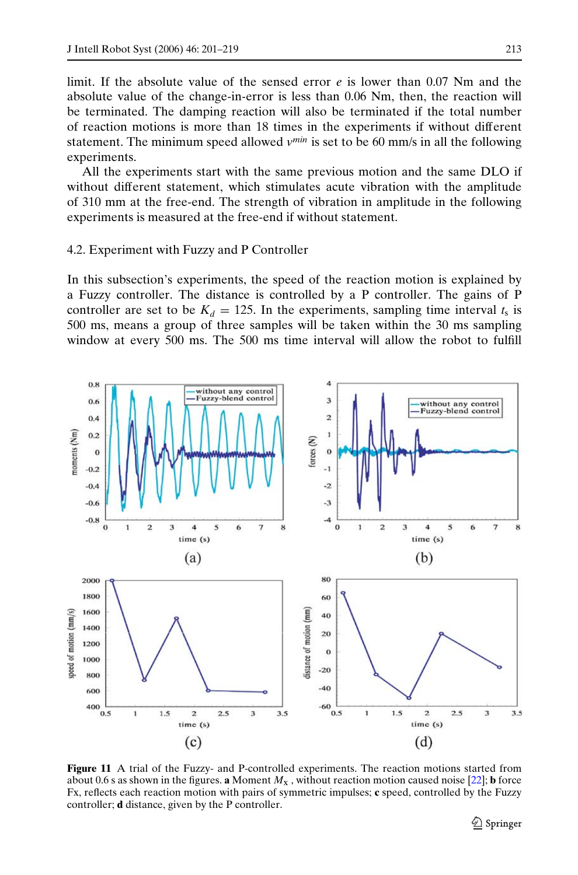<span id="page-12-0"></span>limit. If the absolute value of the sensed error *e* is lower than 0.07 Nm and the absolute value of the change-in-error is less than 0.06 Nm, then, the reaction will be terminated. The damping reaction will also be terminated if the total number of reaction motions is more than 18 times in the experiments if without different statement. The minimum speed allowed  $v^{min}$  is set to be 60 mm/s in all the following experiments.

All the experiments start with the same previous motion and the same DLO if without different statement, which stimulates acute vibration with the amplitude of 310 mm at the free-end. The strength of vibration in amplitude in the following experiments is measured at the free-end if without statement.

#### 4.2. Experiment with Fuzzy and P Controller

In this subsection's experiments, the speed of the reaction motion is explained by a Fuzzy controller. The distance is controlled by a P controller. The gains of P controller are set to be  $K_d = 125$ . In the experiments, sampling time interval  $t_s$  is 500 ms, means a group of three samples will be taken within the 30 ms sampling window at every 500 ms. The 500 ms time interval will allow the robot to fulfill



**Figure 11** A trial of the Fuzzy- and P-controlled experiments. The reaction motions started from about 0.6 s as shown in the figures. **a** Moment  $M_x$ , without reaction motion caused noise [\[22\]](#page-18-0); **b** force Fx, reflects each reaction motion with pairs of symmetric impulses; **c** speed, controlled by the Fuzzy controller; **d** distance, given by the P controller.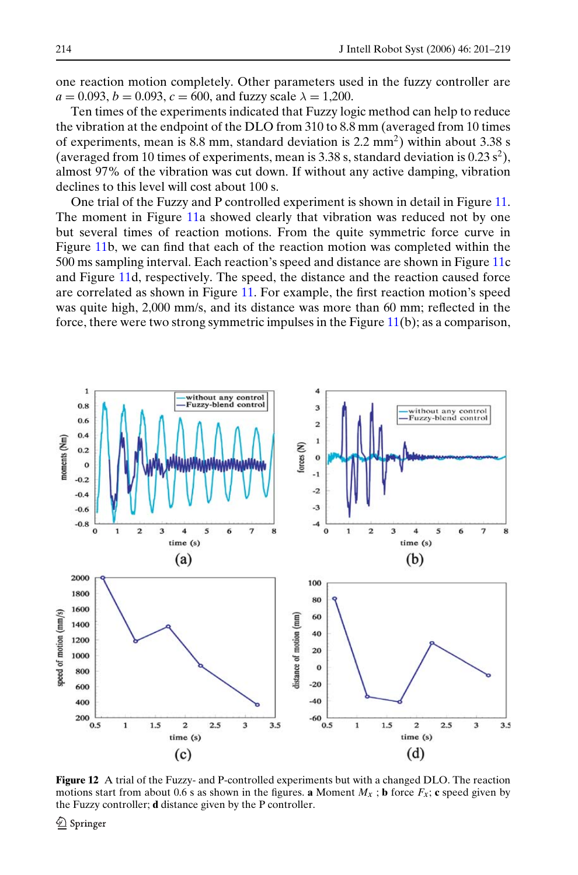<span id="page-13-0"></span>one reaction motion completely. Other parameters used in the fuzzy controller are  $a = 0.093, b = 0.093, c = 600$ , and fuzzy scale  $\lambda = 1.200$ .

Ten times of the experiments indicated that Fuzzy logic method can help to reduce the vibration at the endpoint of the DLO from 310 to 8.8 mm (averaged from 10 times of experiments, mean is 8.8 mm, standard deviation is  $2.2 \text{ mm}^2$ ) within about  $3.38 \text{ s}$ (averaged from 10 times of experiments, mean is 3.38 s, standard deviation is  $0.23 \text{ s}^2$ ), almost 97% of the vibration was cut down. If without any active damping, vibration declines to this level will cost about 100 s.

One trial of the Fuzzy and P controlled experiment is shown in detail in Figure [11.](#page-12-0) The moment in Figure [11a](#page-12-0) showed clearly that vibration was reduced not by one but several times of reaction motions. From the quite symmetric force curve in Figure [11b](#page-12-0), we can find that each of the reaction motion was completed within the 500 ms sampling interval. Each reaction's speed and distance are shown in Figure [11c](#page-12-0) and Figure [11d](#page-12-0), respectively. The speed, the distance and the reaction caused force are correlated as shown in Figure [11.](#page-12-0) For example, the first reaction motion's speed was quite high, 2,000 mm/s, and its distance was more than 60 mm; reflected in the force, there were two strong symmetric impulses in the Figure [11\(](#page-12-0)b); as a comparison,



**Figure 12** A trial of the Fuzzy- and P-controlled experiments but with a changed DLO. The reaction motions start from about 0.6 s as shown in the figures. **a** Moment  $M_x$ ; **b** force  $F_x$ ; **c** speed given by the Fuzzy controller; **d** distance given by the P controller.

 $\mathcal{Q}$  Springer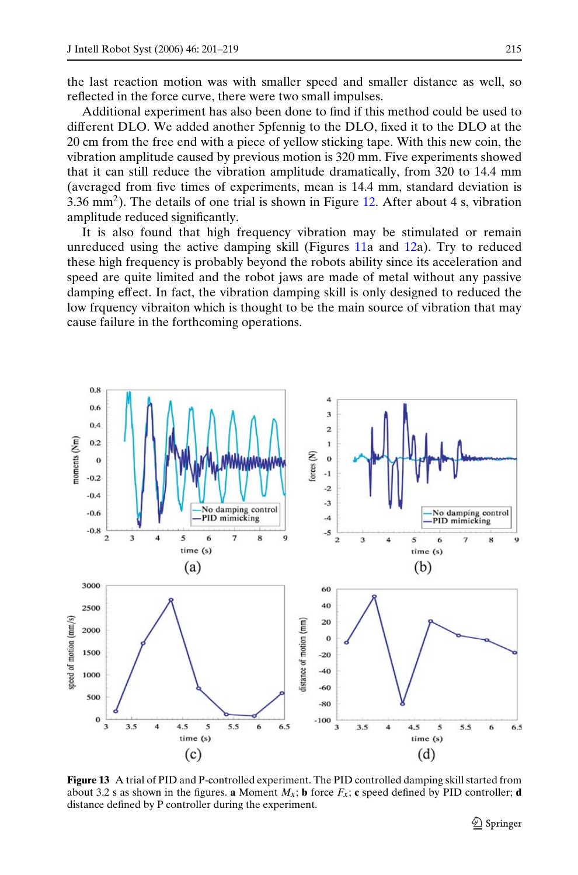<span id="page-14-0"></span>the last reaction motion was with smaller speed and smaller distance as well, so reflected in the force curve, there were two small impulses.

Additional experiment has also been done to find if this method could be used to different DLO. We added another 5pfennig to the DLO, fixed it to the DLO at the 20 cm from the free end with a piece of yellow sticking tape. With this new coin, the vibration amplitude caused by previous motion is 320 mm. Five experiments showed that it can still reduce the vibration amplitude dramatically, from 320 to 14.4 mm (averaged from five times of experiments, mean is 14.4 mm, standard deviation is 3.36 mm<sup>2</sup> ). The details of one trial is shown in Figure [12.](#page-13-0) After about 4 s, vibration amplitude reduced significantly.

It is also found that high frequency vibration may be stimulated or remain unreduced using the active damping skill (Figures [11a](#page-12-0) and [12a](#page-13-0)). Try to reduced these high frequency is probably beyond the robots ability since its acceleration and speed are quite limited and the robot jaws are made of metal without any passive damping effect. In fact, the vibration damping skill is only designed to reduced the low frquency vibraiton which is thought to be the main source of vibration that may cause failure in the forthcoming operations.



**Figure 13** A trial of PID and P-controlled experiment. The PID controlled damping skill started from about 3.2 s as shown in the figures. **a** Moment  $M_x$ ; **b** force  $F_x$ ; **c** speed defined by PID controller; **d** distance defined by P controller during the experiment.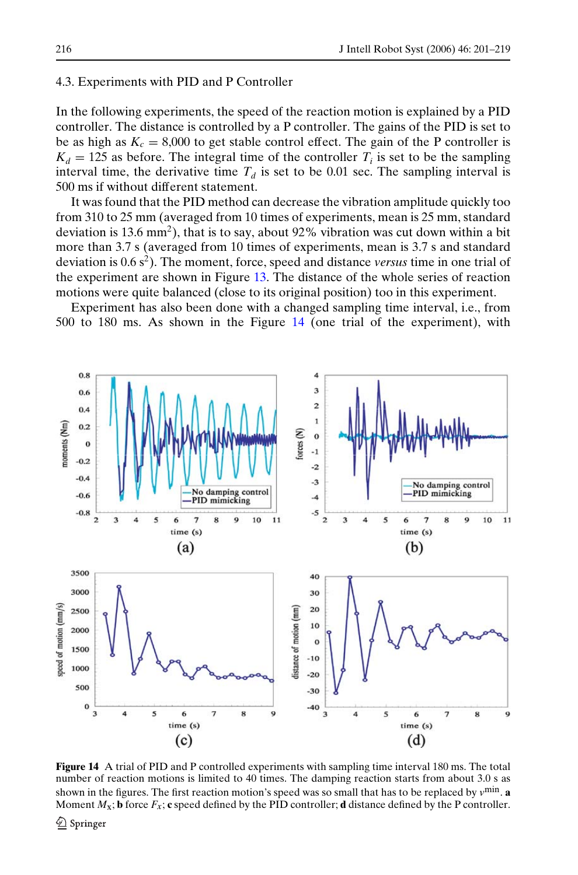### <span id="page-15-0"></span>4.3. Experiments with PID and P Controller

In the following experiments, the speed of the reaction motion is explained by a PID controller. The distance is controlled by a P controller. The gains of the PID is set to be as high as  $K_c = 8,000$  to get stable control effect. The gain of the P controller is  $K_d = 125$  as before. The integral time of the controller  $T_i$  is set to be the sampling interval time, the derivative time  $T_d$  is set to be 0.01 sec. The sampling interval is 500 ms if without different statement.

It was found that the PID method can decrease the vibration amplitude quickly too from 310 to 25 mm (averaged from 10 times of experiments, mean is 25 mm, standard deviation is 13.6 mm<sup>2</sup>), that is to say, about 92% vibration was cut down within a bit more than 3.7 s (averaged from 10 times of experiments, mean is 3.7 s and standard deviation is 0.6 s<sup>2</sup>). The moment, force, speed and distance *versus* time in one trial of the experiment are shown in Figure [13.](#page-14-0) The distance of the whole series of reaction motions were quite balanced (close to its original position) too in this experiment.

Experiment has also been done with a changed sampling time interval, i.e., from 500 to 180 ms. As shown in the Figure 14 (one trial of the experiment), with



**Figure 14** A trial of PID and P controlled experiments with sampling time interval 180 ms. The total number of reaction motions is limited to 40 times. The damping reaction starts from about 3.0 s as shown in the figures. The first reaction motion's speed was so small that has to be replaced by  $v^{\text{min}}$ . **a** Moment  $M_x$ ; **b** force  $F_x$ ; **c** speed defined by the PID controller; **d** distance defined by the P controller.  $\mathcal{D}$  Springer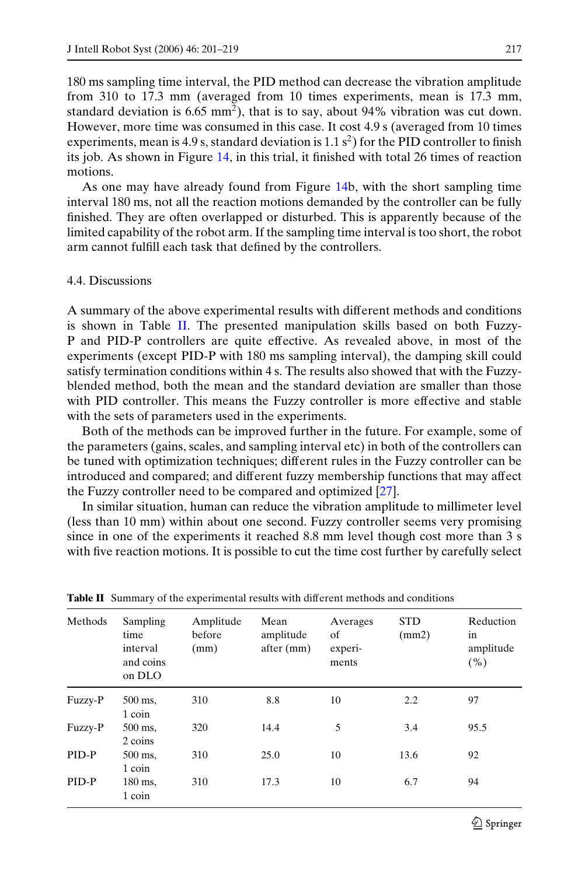180 ms sampling time interval, the PID method can decrease the vibration amplitude from 310 to 17.3 mm (averaged from 10 times experiments, mean is 17.3 mm, standard deviation is 6.65 mm<sup>2</sup>), that is to say, about 94% vibration was cut down. However, more time was consumed in this case. It cost 4.9 s (averaged from 10 times experiments, mean is 4.9 s, standard deviation is  $1.1 \text{ s}^2$ ) for the PID controller to finish its job. As shown in Figure [14,](#page-15-0) in this trial, it finished with total 26 times of reaction motions.

As one may have already found from Figure [14b](#page-15-0), with the short sampling time interval 180 ms, not all the reaction motions demanded by the controller can be fully finished. They are often overlapped or disturbed. This is apparently because of the limited capability of the robot arm. If the sampling time interval is too short, the robot arm cannot fulfill each task that defined by the controllers.

### 4.4. Discussions

A summary of the above experimental results with different methods and conditions is shown in Table II. The presented manipulation skills based on both Fuzzy-P and PID-P controllers are quite effective. As revealed above, in most of the experiments (except PID-P with 180 ms sampling interval), the damping skill could satisfy termination conditions within 4 s. The results also showed that with the Fuzzyblended method, both the mean and the standard deviation are smaller than those with PID controller. This means the Fuzzy controller is more effective and stable with the sets of parameters used in the experiments.

Both of the methods can be improved further in the future. For example, some of the parameters (gains, scales, and sampling interval etc) in both of the controllers can be tuned with optimization techniques; different rules in the Fuzzy controller can be introduced and compared; and different fuzzy membership functions that may affect the Fuzzy controller need to be compared and optimized [\[27\]](#page-18-0).

In similar situation, human can reduce the vibration amplitude to millimeter level (less than 10 mm) within about one second. Fuzzy controller seems very promising since in one of the experiments it reached 8.8 mm level though cost more than 3 s with five reaction motions. It is possible to cut the time cost further by carefully select

| Methods | Sampling<br>time<br>interval<br>and coins<br>on DLO | Amplitude<br>before<br>(mm) | Mean<br>amplitude<br>$after$ (mm) | Averages<br>of<br>experi-<br>ments | <b>STD</b><br>(mm2) | Reduction<br>in<br>amplitude<br>( %) |
|---------|-----------------------------------------------------|-----------------------------|-----------------------------------|------------------------------------|---------------------|--------------------------------------|
| Fuzzy-P | 500 ms.<br>1 coin                                   | 310                         | 8.8                               | 10                                 | 2.2                 | 97                                   |
| Fuzzy-P | 500 ms.<br>2 coins                                  | 320                         | 14.4                              | 5                                  | 3.4                 | 95.5                                 |
| PID-P   | 500 ms.<br>1 coin                                   | 310                         | 25.0                              | 10                                 | 13.6                | 92                                   |
| PID-P   | 180 ms.<br>1 coin                                   | 310                         | 17.3                              | 10                                 | 6.7                 | 94                                   |

**Table II** Summary of the experimental results with different methods and conditions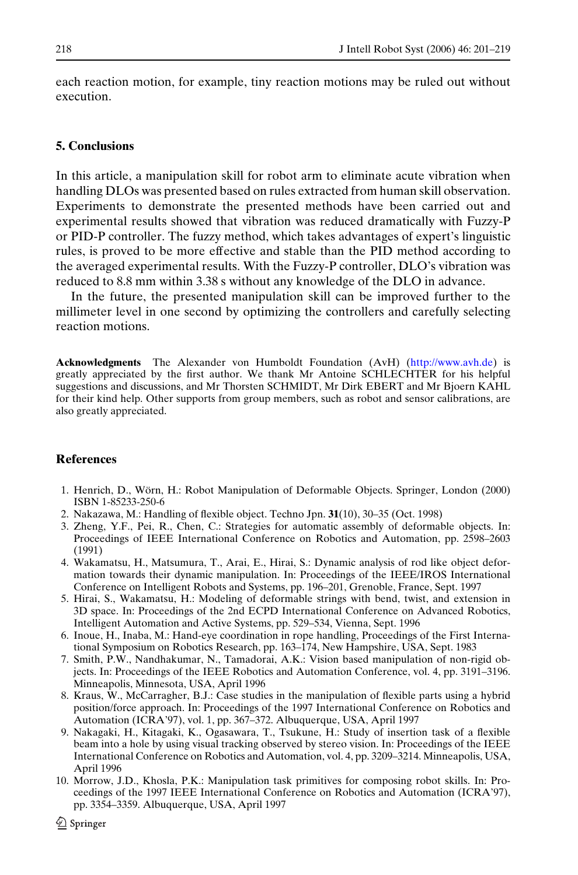<span id="page-17-0"></span>each reaction motion, for example, tiny reaction motions may be ruled out without execution.

#### **5. Conclusions**

In this article, a manipulation skill for robot arm to eliminate acute vibration when handling DLOs was presented based on rules extracted from human skill observation. Experiments to demonstrate the presented methods have been carried out and experimental results showed that vibration was reduced dramatically with Fuzzy-P or PID-P controller. The fuzzy method, which takes advantages of expert's linguistic rules, is proved to be more effective and stable than the PID method according to the averaged experimental results. With the Fuzzy-P controller, DLO's vibration was reduced to 8.8 mm within 3.38 s without any knowledge of the DLO in advance.

In the future, the presented manipulation skill can be improved further to the millimeter level in one second by optimizing the controllers and carefully selecting reaction motions.

**Acknowledgments** The Alexander von Humboldt Foundation (AvH) [\(http://www.avh.de\)](http://www.avh.de) is greatly appreciated by the first author. We thank Mr Antoine SCHLECHTER for his helpful suggestions and discussions, and Mr Thorsten SCHMIDT, Mr Dirk EBERT and Mr Bjoern KAHL for their kind help. Other supports from group members, such as robot and sensor calibrations, are also greatly appreciated.

## **References**

- 1. Henrich, D., Wörn, H.: Robot Manipulation of Deformable Objects. Springer, London (2000) ISBN 1-85233-250-6
- 2. Nakazawa, M.: Handling of flexible object. Techno Jpn. **31**(10), 30–35 (Oct. 1998)
- 3. Zheng, Y.F., Pei, R., Chen, C.: Strategies for automatic assembly of deformable objects. In: Proceedings of IEEE International Conference on Robotics and Automation, pp. 2598–2603 (1991)
- 4. Wakamatsu, H., Matsumura, T., Arai, E., Hirai, S.: Dynamic analysis of rod like object deformation towards their dynamic manipulation. In: Proceedings of the IEEE/IROS International Conference on Intelligent Robots and Systems, pp. 196–201, Grenoble, France, Sept. 1997
- 5. Hirai, S., Wakamatsu, H.: Modeling of deformable strings with bend, twist, and extension in 3D space. In: Proceedings of the 2nd ECPD International Conference on Advanced Robotics, Intelligent Automation and Active Systems, pp. 529–534, Vienna, Sept. 1996
- 6. Inoue, H., Inaba, M.: Hand-eye coordination in rope handling, Proceedings of the First International Symposium on Robotics Research, pp. 163–174, New Hampshire, USA, Sept. 1983
- 7. Smith, P.W., Nandhakumar, N., Tamadorai, A.K.: Vision based manipulation of non-rigid objects. In: Proceedings of the IEEE Robotics and Automation Conference, vol. 4, pp. 3191–3196. Minneapolis, Minnesota, USA, April 1996
- 8. Kraus, W., McCarragher, B.J.: Case studies in the manipulation of flexible parts using a hybrid position/force approach. In: Proceedings of the 1997 International Conference on Robotics and Automation (ICRA'97), vol. 1, pp. 367–372. Albuquerque, USA, April 1997
- 9. Nakagaki, H., Kitagaki, K., Ogasawara, T., Tsukune, H.: Study of insertion task of a flexible beam into a hole by using visual tracking observed by stereo vision. In: Proceedings of the IEEE International Conference on Robotics and Automation, vol. 4, pp. 3209–3214. Minneapolis, USA, April 1996
- 10. Morrow, J.D., Khosla, P.K.: Manipulation task primitives for composing robot skills. In: Proceedings of the 1997 IEEE International Conference on Robotics and Automation (ICRA'97), pp. 3354–3359. Albuquerque, USA, April 1997